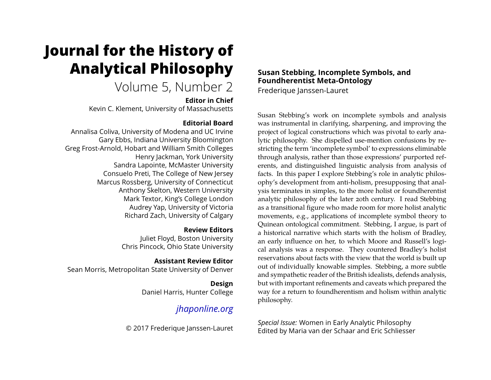# **Journal for the History of Analytical Philosophy**

# Volume 5, Number 2

**Editor in Chief**

Kevin C. Klement, University of Massachusetts

### **Editorial Board**

Annalisa Coliva, University of Modena and UC Irvine Gary Ebbs, Indiana University Bloomington Greg Frost-Arnold, Hobart and William Smith Colleges Henry Jackman, York University Sandra Lapointe, McMaster University Consuelo Preti, The College of New Jersey Marcus Rossberg, University of Connecticut Anthony Skelton, Western University Mark Textor, King's College London Audrey Yap, University of Victoria Richard Zach, University of Calgary

**Review Editors**

Juliet Floyd, Boston University Chris Pincock, Ohio State University

**Assistant Review Editor**

Sean Morris, Metropolitan State University of Denver

**Design** Daniel Harris, Hunter College

# *[jhaponline.org](https://jhaponline.org)*

© 2017 Frederique Janssen-Lauret

## **Susan Stebbing, Incomplete Symbols, and Foundherentist Meta-Ontology**

Frederique Janssen-Lauret

Susan Stebbing's work on incomplete symbols and analysis was instrumental in clarifying, sharpening, and improving the project of logical constructions which was pivotal to early analytic philosophy. She dispelled use-mention confusions by restricting the term 'incomplete symbol' to expressions eliminable through analysis, rather than those expressions' purported referents, and distinguished linguistic analysis from analysis of facts. In this paper I explore Stebbing's role in analytic philosophy's development from anti-holism, presupposing that analysis terminates in simples, to the more holist or foundherentist analytic philosophy of the later 20th century. I read Stebbing as a transitional figure who made room for more holist analytic movements, e.g., applications of incomplete symbol theory to Quinean ontological commitment. Stebbing, I argue, is part of a historical narrative which starts with the holism of Bradley, an early influence on her, to which Moore and Russell's logical analysis was a response. They countered Bradley's holist reservations about facts with the view that the world is built up out of individually knowable simples. Stebbing, a more subtle and sympathetic reader of the British idealists, defends analysis, but with important refinements and caveats which prepared the way for a return to foundherentism and holism within analytic philosophy.

*Special Issue:* Women in Early Analytic Philosophy Edited by Maria van der Schaar and Eric Schliesser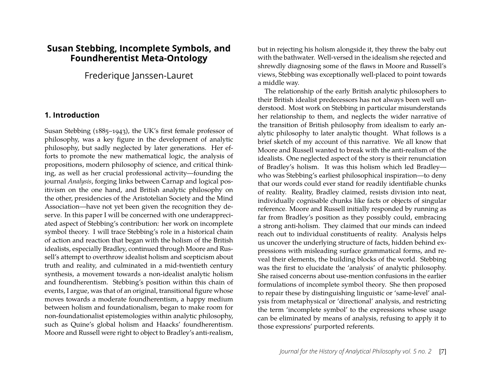### **Susan Stebbing, Incomplete Symbols, and Foundherentist Meta-Ontology**

Frederique Janssen-Lauret

#### **1. Introduction**

Susan Stebbing (1885–1943), the UK's first female professor of philosophy, was a key figure in the development of analytic philosophy, but sadly neglected by later generations. Her efforts to promote the new mathematical logic, the analysis of propositions, modern philosophy of science, and critical thinking, as well as her crucial professional activity—founding the journal *Analysis*, forging links between Carnap and logical positivism on the one hand, and British analytic philosophy on the other, presidencies of the Aristotelian Society and the Mind Association—have not yet been given the recognition they deserve. In this paper I will be concerned with one underappreciated aspect of Stebbing's contribution: her work on incomplete symbol theory. I will trace Stebbing's role in a historical chain of action and reaction that began with the holism of the British idealists, especially Bradley, continued through Moore and Russell's attempt to overthrow idealist holism and scepticism about truth and reality, and culminated in a mid-twentieth century synthesis, a movement towards a non-idealist analytic holism and foundherentism. Stebbing's position within this chain of events, I argue, was that of an original, transitional figure whose moves towards a moderate foundherentism, a happy medium between holism and foundationalism, began to make room for non-foundationalist epistemologies within analytic philosophy, such as Quine's global holism and Haacks' foundherentism. Moore and Russell were right to object to Bradley's anti-realism,

but in rejecting his holism alongside it, they threw the baby out with the bathwater. Well-versed in the idealism she rejected and shrewdly diagnosing some of the flaws in Moore and Russell's views, Stebbing was exceptionally well-placed to point towards a middle way.

The relationship of the early British analytic philosophers to their British idealist predecessors has not always been well understood. Most work on Stebbing in particular misunderstands her relationship to them, and neglects the wider narrative of the transition of British philosophy from idealism to early analytic philosophy to later analytic thought. What follows is a brief sketch of my account of this narrative. We all know that Moore and Russell wanted to break with the anti-realism of the idealists. One neglected aspect of the story is their renunciation of Bradley's holism. It was this holism which led Bradley who was Stebbing's earliest philosophical inspiration—to deny that our words could ever stand for readily identifiable chunks of reality. Reality, Bradley claimed, resists division into neat, individually cognisable chunks like facts or objects of singular reference. Moore and Russell initially responded by running as far from Bradley's position as they possibly could, embracing a strong anti-holism. They claimed that our minds can indeed reach out to individual constituents of reality. Analysis helps us uncover the underlying structure of facts, hidden behind expressions with misleading surface grammatical forms, and reveal their elements, the building blocks of the world. Stebbing was the first to elucidate the 'analysis' of analytic philosophy. She raised concerns about use-mention confusions in the earlier formulations of incomplete symbol theory. She then proposed to repair these by distinguishing linguistic or 'same-level' analysis from metaphysical or 'directional' analysis, and restricting the term 'incomplete symbol' to the expressions whose usage can be eliminated by means of analysis, refusing to apply it to those expressions' purported referents.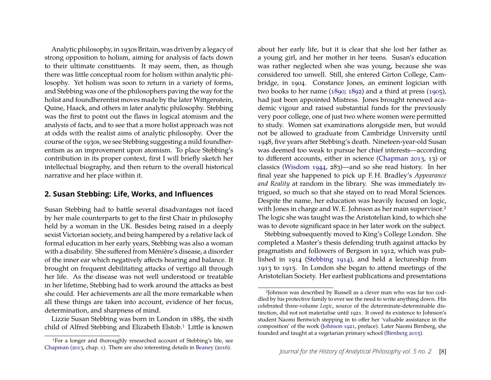Analytic philosophy, in 1930s Britain, was driven by a legacy of strong opposition to holism, aiming for analysis of facts down to their ultimate constituents. It may seem, then, as though there was little conceptual room for holism within analytic philosophy. Yet holism was soon to return in a variety of forms, and Stebbing was one of the philosophers paving the way for the holist and foundherentist moves made by the later Wittgenstein, Quine, Haack, and others in later analytic philosophy. Stebbing was the first to point out the flaws in logical atomism and the analysis of facts, and to see that a more holist approach was not at odds with the realist aims of analytic philosophy. Over the course of the 1930s, we see Stebbing suggesting a mild foundherentism as an improvement upon atomism. To place Stebbing's contribution in its proper context, first I will briefly sketch her intellectual biography, and then return to the overall historical narrative and her place within it.

#### **2. Susan Stebbing: Life, Works, and Inଏuences**

Susan Stebbing had to battle several disadvantages not faced by her male counterparts to get to the first Chair in philosophy held by a woman in the UK. Besides being raised in a deeply sexist Victorian society, and being hampered by a relative lack of formal education in her early years, Stebbing was also a woman with a disability. She suffered from Ménière's disease, a disorder of the inner ear which negatively affects hearing and balance. It brought on frequent debilitating attacks of vertigo all through her life. As the disease was not well understood or treatable in her lifetime, Stebbing had to work around the attacks as best she could. Her achievements are all the more remarkable when all these things are taken into account, evidence of her focus, determination, and sharpness of mind.

Lizzie Susan Stebbing was born in London in 1885, the sixth child of Alfred Stebbing and Elizabeth Elstob.<sup>[1](#page-2-0)</sup> Little is known

about her early life, but it is clear that she lost her father as a young girl, and her mother in her teens. Susan's education was rather neglected when she was young, because she was considered too unwell. Still, she entered Girton College, Cambridge, in 1904. Constance Jones, an eminent logician with two books to her name  $(1890; 1892)$  $(1890; 1892)$  and a third at press  $(1905)$ , had just been appointed Mistress. Jones brought renewed academic vigour and raised substantial funds for the previously very poor college, one of just two where women were permitted to study. Women sat examinations alongside men, but would not be allowed to graduate from Cambridge University until 1948, five years after Stebbing's death. Nineteen-year-old Susan was deemed too weak to pursue her chief interests—according to different accounts, either in science [\(Chapman 2013,](#page-10-0) 13) or classics [\(Wisdom 1944,](#page-11-1) 283)—and so she read history. In her final year she happened to pick up F. H. Bradley's *Appearance and Reality* at random in the library. She was immediately intrigued, so much so that she stayed on to read Moral Sciences. Despite the name, her education was heavily focused on logic, with Jones in charge and W. E. Johnson as her main supervisor.<sup>[2](#page-2-1)</sup> The logic she was taught was the Aristotelian kind, to which she was to devote significant space in her later work on the subject.

Stebbing subsequently moved to King's College London. She completed a Master's thesis defending truth against attacks by pragmatists and followers of Bergson in 1912, which was published in 1914 [\(Stebbing 1914\)](#page-11-2), and held a lectureship from 1913 to 1915. In London she began to attend meetings of the Aristotelian Society. Her earliest publications and presentations

<span id="page-2-0"></span><sup>1</sup>For a longer and thoroughly researched account of Stebbing's life, see [Chapman](#page-10-0) [\(2013,](#page-10-0) chap. 1). There are also interesting details in [Beaney](#page-10-1) [\(2016\)](#page-10-1).

<span id="page-2-1"></span><sup>2</sup>Johnson was described by Russell as a clever man who was far too coddled by his protective family to ever see the need to write anything down. His celebrated three-volume *Logic*, source of the determinate-determinable distinction, did not not materialise until 1921. It owed its existence to Johnson's student Naomi Bentwich stepping in to offer her 'valuable assistance in the composition' of the work [\(Johnson 1921,](#page-10-4) preface). Later Naomi Birnberg, she founded and taught at a vegetarian primary school [\(Birnberg 2015\)](#page-10-5).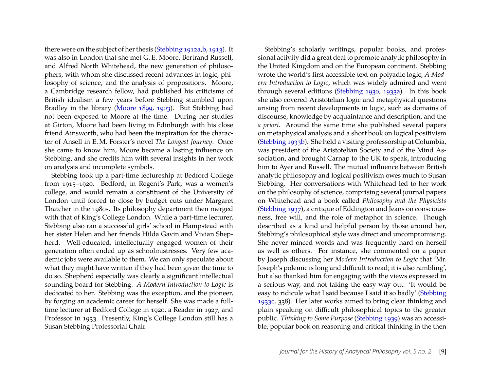there were on the subject of her thesis [\(Stebbing 1912a](#page-11-3)[,b,](#page-11-4) [1913\)](#page-11-5). It was also in London that she met G. E. Moore, Bertrand Russell, and Alfred North Whitehead, the new generation of philosophers, with whom she discussed recent advances in logic, philosophy of science, and the analysis of propositions. Moore, a Cambridge research fellow, had published his criticisms of British idealism a few years before Stebbing stumbled upon Bradley in the library [\(Moore 1899,](#page-11-6) [1903\)](#page-11-7). But Stebbing had not been exposed to Moore at the time. During her studies at Girton, Moore had been living in Edinburgh with his close friend Ainsworth, who had been the inspiration for the character of Ansell in E. M. Forster's novel *The Longest Journey*. Once she came to know him, Moore became a lasting influence on Stebbing, and she credits him with several insights in her work on analysis and incomplete symbols.

Stebbing took up a part-time lectureship at Bedford College from 1915–1920. Bedford, in Regent's Park, was a women's college, and would remain a constituent of the University of London until forced to close by budget cuts under Margaret Thatcher in the 1980s. Its philosophy department then merged with that of King's College London. While a part-time lecturer, Stebbing also ran a successful girls' school in Hampstead with her sister Helen and her friends Hilda Gavin and Vivian Shepherd. Well-educated, intellectually engaged women of their generation often ended up as schoolmistresses. Very few academic jobs were available to them. We can only speculate about what they might have written if they had been given the time to do so. Shepherd especially was clearly a significant intellectual sounding board for Stebbing. *A Modern Introduction to Logic* is dedicated to her. Stebbing was the exception, and the pioneer, by forging an academic career for herself. She was made a fulltime lecturer at Bedford College in 1920, a Reader in 1927, and Professor in 1933. Presently, King's College London still has a Susan Stebbing Professorial Chair.

Stebbing's scholarly writings, popular books, and professional activity did a great deal to promote analytic philosophy in the United Kingdom and on the European continent. Stebbing wrote the world's first accessible text on polyadic logic, *A Modern Introduction to Logic*, which was widely admired and went through several editions [\(Stebbing 1930,](#page-11-8) [1933a\)](#page-11-9). In this book she also covered Aristotelian logic and metaphysical questions arising from recent developments in logic, such as domains of discourse, knowledge by acquaintance and description, and the *a priori*. Around the same time she published several papers on metaphysical analysis and a short book on logical positivism [\(Stebbing 1933b\)](#page-11-10). She held a visiting professorship at Columbia, was president of the Aristotelian Society and of the Mind Association, and brought Carnap to the UK to speak, introducing him to Ayer and Russell. The mutual influence between British analytic philosophy and logical positivism owes much to Susan Stebbing. Her conversations with Whitehead led to her work on the philosophy of science, comprising several journal papers on Whitehead and a book called *Philosophy and the Physicists* [\(Stebbing 1937\)](#page-11-11), a critique of Eddington and Jeans on consciousness, free will, and the role of metaphor in science. Though described as a kind and helpful person by those around her, Stebbing's philosophical style was direct and uncompromising. She never minced words and was frequently hard on herself as well as others. For instance, she commented on a paper by Joseph discussing her *Modern Introduction to Logic* that 'Mr. Joseph's polemic is long and difficult to read; it is also rambling', but also thanked him for engaging with the views expressed in a serious way, and not taking the easy way out: 'It would be easy to ridicule what I said because I said it so badly' [\(Stebbing](#page-11-12) [1933c,](#page-11-12) 338). Her later works aimed to bring clear thinking and plain speaking on difficult philosophical topics to the greater public. *Thinking to Some Purpose* [\(Stebbing 1939\)](#page-11-13) was an accessible, popular book on reasoning and critical thinking in the then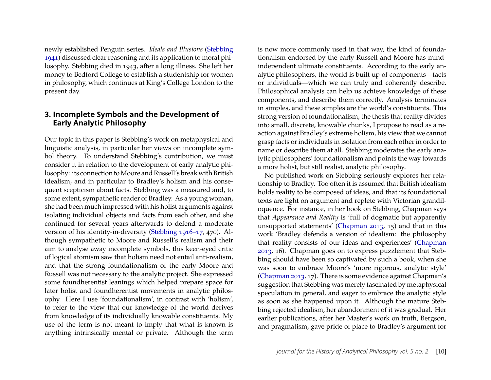newly established Penguin series. *Ideals and Illusions* [\(Stebbing](#page-11-14) [1941\)](#page-11-14) discussed clear reasoning and its application to moral philosophy. Stebbing died in 1943, after a long illness. She left her money to Bedford College to establish a studentship for women in philosophy, which continues at King's College London to the present day.

#### **3. Incomplete Symbols and the Development of Early Analytic Philosophy**

Our topic in this paper is Stebbing's work on metaphysical and linguistic analysis, in particular her views on incomplete symbol theory. To understand Stebbing's contribution, we must consider it in relation to the development of early analytic philosophy: its connection to Moore and Russell's break with British idealism, and in particular to Bradley's holism and his consequent scepticism about facts. Stebbing was a measured and, to some extent, sympathetic reader of Bradley. As a young woman, she had been much impressed with his holist arguments against isolating individual objects and facts from each other, and she continued for several years afterwards to defend a moderate version of his identity-in-diversity [\(Stebbing 1916–17,](#page-11-15) 470). Although sympathetic to Moore and Russell's realism and their aim to analyse away incomplete symbols, this keen-eyed critic of logical atomism saw that holism need not entail anti-realism, and that the strong foundationalism of the early Moore and Russell was not necessary to the analytic project. She expressed some foundherentist leanings which helped prepare space for later holist and foundherentist movements in analytic philosophy. Here I use 'foundationalism', in contrast with 'holism', to refer to the view that our knowledge of the world derives from knowledge of its individually knowable constituents. My use of the term is not meant to imply that what is known is anything intrinsically mental or private. Although the term is now more commonly used in that way, the kind of foundationalism endorsed by the early Russell and Moore has mindindependent ultimate constituents. According to the early analytic philosophers, the world is built up of components—facts or individuals—which we can truly and coherently describe. Philosophical analysis can help us achieve knowledge of these components, and describe them correctly. Analysis terminates in simples, and these simples are the world's constituents. This strong version of foundationalism, the thesis that reality divides into small, discrete, knowable chunks, I propose to read as a reaction against Bradley's extreme holism, his view that we cannot grasp facts or individuals in isolation from each other in order to name or describe them at all. Stebbing moderates the early analytic philosophers' foundationalism and points the way towards a more holist, but still realist, analytic philosophy.

No published work on Stebbing seriously explores her relationship to Bradley. Too often it is assumed that British idealism holds reality to be composed of ideas, and that its foundational texts are light on argument and replete with Victorian grandiloquence. For instance, in her book on Stebbing, Chapman says that *Appearance and Reality* is 'full of dogmatic but apparently unsupported statements' [\(Chapman 2013,](#page-10-0) 15) and that in this work 'Bradley defends a version of idealism: the philosophy that reality consists of our ideas and experiences' [\(Chapman](#page-10-0) [2013,](#page-10-0) 16). Chapman goes on to express puzzlement that Stebbing should have been so captivated by such a book, when she was soon to embrace Moore's 'more rigorous, analytic style' [\(Chapman 2013,](#page-10-0) 17). There is some evidence against Chapman's suggestion that Stebbing was merely fascinated by metaphysical speculation in general, and eager to embrace the analytic style as soon as she happened upon it. Although the mature Stebbing rejected idealism, her abandonment of it was gradual. Her earlier publications, after her Master's work on truth, Bergson, and pragmatism, gave pride of place to Bradley's argument for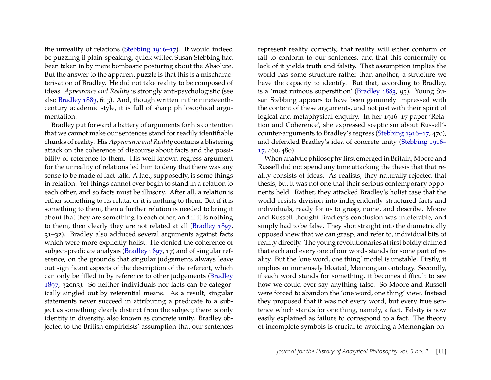the unreality of relations [\(Stebbing 1916–17\)](#page-11-15). It would indeed be puzzling if plain-speaking, quick-witted Susan Stebbing had been taken in by mere bombastic posturing about the Absolute. But the answer to the apparent puzzle is that this is a mischaracterisation of Bradley. He did not take reality to be composed of ideas. *Appearance and Reality* is strongly anti-psychologistic (see also [Bradley 1883,](#page-10-6) 613). And, though written in the nineteenthcentury academic style, it is full of sharp philosophical argumentation.

Bradley put forward a battery of arguments for his contention that we cannot make our sentences stand for readily identifiable chunks of reality. His *Appearance and Reality* contains a blistering attack on the coherence of discourse about facts and the possibility of reference to them. His well-known regress argument for the unreality of relations led him to deny that there was any sense to be made of fact-talk. A fact, supposedly, is some things in relation. Yet things cannot ever begin to stand in a relation to each other, and so facts must be illusory. After all, a relation is either something to its relata, or it is nothing to them. But if it is something to them, then a further relation is needed to bring it about that they are something to each other, and if it is nothing to them, then clearly they are not related at all [\(Bradley 1897,](#page-10-7) 31–32). Bradley also adduced several arguments against facts which were more explicitly holist. He denied the coherence of subject-predicate analysis [\(Bradley 1897,](#page-10-7) 17) and of singular reference, on the grounds that singular judgements always leave out significant aspects of the description of the referent, which can only be filled in by reference to other judgements [\(Bradley](#page-10-7) [1897,](#page-10-7) 320n3). So neither individuals nor facts can be categorically singled out by referential means. As a result, singular statements never succeed in attributing a predicate to a subject as something clearly distinct from the subject; there is only identity in diversity, also known as concrete unity. Bradley objected to the British empiricists' assumption that our sentences represent reality correctly, that reality will either conform or fail to conform to our sentences, and that this conformity or lack of it yields truth and falsity. That assumption implies the world has some structure rather than another, a structure we have the capacity to identify. But that, according to Bradley, is a 'most ruinous superstition' [\(Bradley 1883,](#page-10-6) 95). Young Susan Stebbing appears to have been genuinely impressed with the content of these arguments, and not just with their spirit of logical and metaphysical enquiry. In her 1916–17 paper 'Relation and Coherence', she expressed scepticism about Russell's counter-arguments to Bradley's regress [\(Stebbing 1916–17,](#page-11-15) 470), and defended Bradley's idea of concrete unity [\(Stebbing 1916–](#page-11-15) [17,](#page-11-15) 460, 480).

When analytic philosophy first emerged in Britain, Moore and Russell did not spend any time attacking the thesis that that reality consists of ideas. As realists, they naturally rejected that thesis, but it was not one that their serious contemporary opponents held. Rather, they attacked Bradley's holist case that the world resists division into independently structured facts and individuals, ready for us to grasp, name, and describe. Moore and Russell thought Bradley's conclusion was intolerable, and simply had to be false. They shot straight into the diametrically opposed view that we can grasp, and refer to, individual bits of reality directly. The young revolutionaries at first boldly claimed that each and every one of our words stands for some part of reality. But the 'one word, one thing' model is unstable. Firstly, it implies an immensely bloated, Meinongian ontology. Secondly, if each word stands for something, it becomes difficult to see how we could ever say anything false. So Moore and Russell were forced to abandon the 'one word, one thing' view. Instead they proposed that it was not every word, but every true sentence which stands for one thing, namely, a fact. Falsity is now easily explained as failure to correspond to a fact. The theory of incomplete symbols is crucial to avoiding a Meinongian on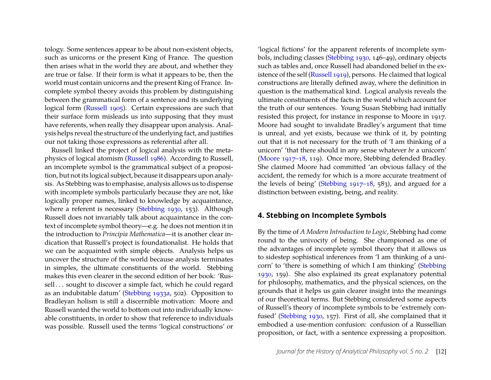tology. Some sentences appear to be about non-existent objects, such as unicorns or the present King of France. The question then arises what in the world they are about, and whether they are true or false. If their form is what it appears to be, then the world must contain unicorns and the present King of France. Incomplete symbol theory avoids this problem by distinguishing between the grammatical form of a sentence and its underlying logical form [\(Russell 1905\)](#page-11-16). Certain expressions are such that their surface form misleads us into supposing that they must have referents, when really they disappear upon analysis. Analysis helps reveal the structure of the underlying fact, and justifies our not taking those expressions as referential after all.

Russell linked the project of logical analysis with the metaphysics of logical atomism [\(Russell 1986\)](#page-11-17). According to Russell, an incomplete symbol is the grammatical subject of a proposition, but not its logical subject, because it disappears upon analysis. As Stebbing was to emphasise, analysis allows us to dispense with incomplete symbols particularly because they are not, like logically proper names, linked to knowledge by acquaintance, where a referent is necessary [\(Stebbing 1930,](#page-11-8) 153). Although Russell does not invariably talk about acquaintance in the context of incomplete symbol theory—e.g. he does not mention it in the introduction to *Principia Mathematica*—it is another clear indication that Russell's project is foundationalist. He holds that we can be acquainted with simple objects. Analysis helps us uncover the structure of the world because analysis terminates in simples, the ultimate constituents of the world. Stebbing makes this even clearer in the second edition of her book: 'Russell ... sought to discover a simple fact, which he could regard as an indubitable datum' [\(Stebbing 1933a,](#page-11-9) 502). Opposition to Bradleyan holism is still a discernible motivation: Moore and Russell wanted the world to bottom out into individually knowable constituents, in order to show that reference to individuals was possible. Russell used the terms 'logical constructions' or

'logical fictions' for the apparent referents of incomplete symbols, including classes [\(Stebbing 1930,](#page-11-8) 146–49), ordinary objects such as tables and, once Russell had abandoned belief in the existence of the self [\(Russell 1919\)](#page-11-18), persons. He claimed that logical constructions are literally defined away, where the definition in question is the mathematical kind. Logical analysis reveals the ultimate constituents of the facts in the world which account for the truth of our sentences. Young Susan Stebbing had initially resisted this project, for instance in response to Moore in 1917. Moore had sought to invalidate Bradley's argument that time is unreal, and yet exists, because we think of it, by pointing out that it is not necessary for the truth of 'I am thinking of a unicorn' 'that there should in any sense whatever *be* a unicorn' [\(Moore 1917–18,](#page-11-19) 119). Once more, Stebbing defended Bradley. She claimed Moore had committed 'an obvious fallacy of the accident, the remedy for which is a more accurate treatment of the levels of being' [\(Stebbing 1917–18,](#page-11-20) 583), and argued for a distinction between existing, being, and reality.

#### **4. Stebbing on Incomplete Symbols**

By the time of *A Modern Introduction to Logic*, Stebbing had come round to the univocity of being. She championed as one of the advantages of incomplete symbol theory that it allows us to sidestep sophistical inferences from 'I am thinking of a unicorn' to 'there is something of which I am thinking' [\(Stebbing](#page-11-8) [1930,](#page-11-8) 159). She also explained its great explanatory potential for philosophy, mathematics, and the physical sciences, on the grounds that it helps us gain clearer insight into the meanings of our theoretical terms. But Stebbing considered some aspects of Russell's theory of incomplete symbols to be 'extremely confused' [\(Stebbing 1930,](#page-11-8) 157). First of all, she complained that it embodied a use-mention confusion: confusion of a Russellian proposition, or fact, with a sentence expressing a proposition.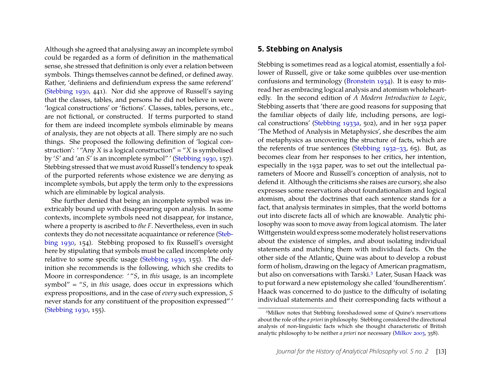Although she agreed that analysing away an incomplete symbol could be regarded as a form of definition in the mathematical sense, she stressed that definition is only ever a relation between symbols. Things themselves cannot be defined, or defined away. Rather, 'definiens and definiendum express the same referend' [\(Stebbing 1930,](#page-11-8) 441). Nor did she approve of Russell's saying that the classes, tables, and persons he did not believe in were 'logical constructions' or 'fictions'. Classes, tables, persons, etc., are not fictional, or constructed. If terms purported to stand for them are indeed incomplete symbols eliminable by means of analysis, they are not objects at all. There simply are no such things. She proposed the following definition of 'logical construction': ' "Any *X* is a logical construction" = "*X* is symbolised by '*S*' and 'an *S*' is an incomplete symbol" ' [\(Stebbing 1930,](#page-11-8) 157). Stebbing stressed that we must avoid Russell's tendency to speak of the purported referents whose existence we are denying as incomplete symbols, but apply the term only to the expressions which are eliminable by logical analysis.

She further denied that being an incomplete symbol was inextricably bound up with disappearing upon analysis. In some contexts, incomplete symbols need not disappear, for instance, where a property is ascribed to *the F*. Nevertheless, even in such contexts they do not necessitate acquaintance or reference [\(Steb](#page-11-8)[bing 1930,](#page-11-8) 154). Stebbing proposed to fix Russell's oversight here by stipulating that symbols must be called incomplete only relative to some specific usage [\(Stebbing 1930,](#page-11-8) 155). The definition she recommends is the following, which she credits to Moore in correspondence: ' "*S*, in *this* usage, is an incomplete symbol" = "*S*, in *this* usage, does occur in expressions which express propositions, and in the case of *every* such expression, *S* never stands for any constituent of the proposition expressed" ' [\(Stebbing 1930,](#page-11-8) 155).

#### **5. Stebbing on Analysis**

Stebbing is sometimes read as a logical atomist, essentially a follower of Russell, give or take some quibbles over use-mention confusions and terminology [\(Bronstein 1934\)](#page-10-8). It is easy to misread her as embracing logical analysis and atomism wholeheartedly. In the second edition of *A Modern Introduction to Logic*, Stebbing asserts that 'there are good reasons for supposing that the familiar objects of daily life, including persons, are logical constructions' [\(Stebbing 1933a,](#page-11-9) 502), and in her 1932 paper 'The Method of Analysis in Metaphysics', she describes the aim of metaphysics as uncovering the structure of facts, which are the referents of true sentences [\(Stebbing 1932–33,](#page-11-21) 65). But, as becomes clear from her responses to her critics, her intention, especially in the 1932 paper, was to set out the intellectual parameters of Moore and Russell's conception of analysis, not to defend it. Although the criticisms she raises are cursory, she also expresses some reservations about foundationalism and logical atomism, about the doctrines that each sentence stands for a fact, that analysis terminates in simples, that the world bottoms out into discrete facts all of which are knowable. Analytic philosophy was soon to move away from logical atomism. The later Wittgenstein would express some moderately holist reservations about the existence of simples, and about isolating individual statements and matching them with individual facts. On the other side of the Atlantic, Quine was about to develop a robust form of holism, drawing on the legacy of American pragmatism, but also on conversations with Tarski.[3](#page-7-0) Later, Susan Haack was to put forward a new epistemology she called 'foundherentism'. Haack was concerned to do justice to the difficulty of isolating individual statements and their corresponding facts without a

<span id="page-7-0"></span><sup>3</sup>Milkov notes that Stebbing foreshadowed some of Quine's reservations about the role of the *a priori* in philosophy. Stebbing considered the directional analysis of non-linguistic facts which she thought characteristic of British analytic philosophy to be neither *a priori* nor necessary [\(Milkov 2003,](#page-11-22) 358).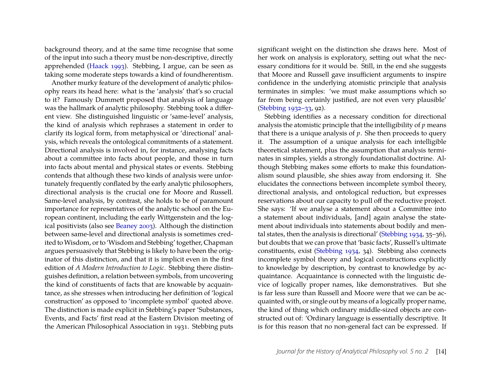background theory, and at the same time recognise that some of the input into such a theory must be non-descriptive, directly apprehended [\(Haack 1993\)](#page-10-9). Stebbing, I argue, can be seen as taking some moderate steps towards a kind of foundherentism.

Another murky feature of the development of analytic philosophy rears its head here: what is the 'analysis' that's so crucial to it? Famously Dummett proposed that analysis of language was the hallmark of analytic philosophy. Stebbing took a different view. She distinguished linguistic or 'same-level' analysis, the kind of analysis which rephrases a statement in order to clarify its logical form, from metaphysical or 'directional' analysis, which reveals the ontological commitments of a statement. Directional analysis is involved in, for instance, analysing facts about a committee into facts about people, and those in turn into facts about mental and physical states or events. Stebbing contends that although these two kinds of analysis were unfortunately frequently conflated by the early analytic philosophers, directional analysis is the crucial one for Moore and Russell. Same-level analysis, by contrast, she holds to be of paramount importance for representatives of the analytic school on the European continent, including the early Wittgenstein and the logical positivists (also see [Beaney 2003\)](#page-10-10). Although the distinction between same-level and directional analysis is sometimes credited to Wisdom, or to 'Wisdom and Stebbing' together, Chapman argues persuasively that Stebbing is likely to have been the originator of this distinction, and that it is implicit even in the first edition of *A Modern Introduction to Logic*. Stebbing there distinguishes definition, a relation between symbols, from uncovering the kind of constituents of facts that are knowable by acquaintance, as she stresses when introducing her definition of 'logical construction' as opposed to 'incomplete symbol' quoted above. The distinction is made explicit in Stebbing's paper 'Substances, Events, and Facts' first read at the Eastern Division meeting of the American Philosophical Association in 1931. Stebbing puts significant weight on the distinction she draws here. Most of her work on analysis is exploratory, setting out what the necessary conditions for it would be. Still, in the end she suggests that Moore and Russell gave insufficient arguments to inspire confidence in the underlying atomistic principle that analysis terminates in simples: 'we must make assumptions which so far from being certainly justified, are not even very plausible' [\(Stebbing 1932–33,](#page-11-21) 92).

Stebbing identifies as a necessary condition for directional analysis the atomistic principle that the intelligibility of *p* means that there is a unique analysis of *p*. She then proceeds to query it. The assumption of a unique analysis for each intelligible theoretical statement, plus the assumption that analysis terminates in simples, yields a strongly foundationalist doctrine. Although Stebbing makes some efforts to make this foundationalism sound plausible, she shies away from endorsing it. She elucidates the connections between incomplete symbol theory, directional analysis, and ontological reduction, but expresses reservations about our capacity to pull off the reductive project. She says: 'If we analyse a statement about a Committee into a statement about individuals, [and] again analyse the statement about individuals into statements about bodily and mental states, then the analysis is directional' [\(Stebbing 1934,](#page-11-23) 35–36), but doubts that we can prove that 'basic facts', Russell's ultimate constituents, exist [\(Stebbing 1934,](#page-11-23) 34). Stebbing also connects incomplete symbol theory and logical constructions explicitly to knowledge by description, by contrast to knowledge by acquaintance. Acquaintance is connected with the linguistic device of logically proper names, like demonstratives. But she is far less sure than Russell and Moore were that we can be acquainted with, or single out by means of a logically proper name, the kind of thing which ordinary middle-sized objects are constructed out of: 'Ordinary language is essentially descriptive. It is for this reason that no non-general fact can be expressed. If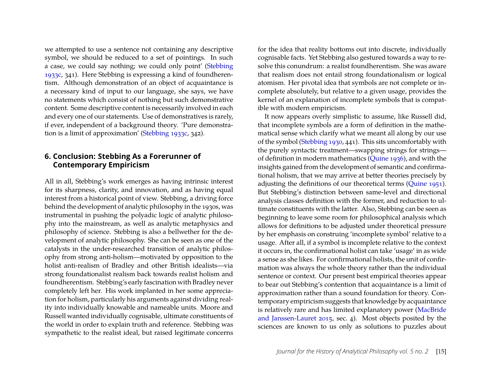we attempted to use a sentence not containing any descriptive symbol, we should be reduced to a set of pointings. In such a case, we could say nothing; we could only point' [\(Stebbing](#page-11-12) [1933c,](#page-11-12) 341). Here Stebbing is expressing a kind of foundherentism. Although demonstration of an object of acquaintance is a necessary kind of input to our language, she says, we have no statements which consist of nothing but such demonstrative content. Some descriptive content is necessarily involved in each and every one of our statements. Use of demonstratives is rarely, if ever, independent of a background theory. 'Pure demonstration is a limit of approximation' [\(Stebbing 1933c,](#page-11-12) 342).

#### **6. Conclusion: Stebbing As a Forerunner of Contemporary Empiricism**

All in all, Stebbing's work emerges as having intrinsic interest for its sharpness, clarity, and innovation, and as having equal interest from a historical point of view. Stebbing, a driving force behind the development of analytic philosophy in the 1930s, was instrumental in pushing the polyadic logic of analytic philosophy into the mainstream, as well as analytic metaphysics and philosophy of science. Stebbing is also a bellwether for the development of analytic philosophy. She can be seen as one of the catalysts in the under-researched transition of analytic philosophy from strong anti-holism—motivated by opposition to the holist anti-realism of Bradley and other British idealists—via strong foundationalist realism back towards realist holism and foundherentism. Stebbing's early fascination with Bradley never completely left her. His work implanted in her some appreciation for holism, particularly his arguments against dividing reality into individually knowable and nameable units. Moore and Russell wanted individually cognisable, ultimate constituents of the world in order to explain truth and reference. Stebbing was sympathetic to the realist ideal, but raised legitimate concerns

for the idea that reality bottoms out into discrete, individually cognisable facts. Yet Stebbing also gestured towards a way to resolve this conundrum: a realist foundherentism. She was aware that realism does not entail strong foundationalism or logical atomism. Her pivotal idea that symbols are not complete or incomplete absolutely, but relative to a given usage, provides the kernel of an explanation of incomplete symbols that is compatible with modern empiricism.

It now appears overly simplistic to assume, like Russell did, that incomplete symbols are a form of definition in the mathematical sense which clarify what we meant all along by our use of the symbol [\(Stebbing 1930,](#page-11-8) 441). This sits uncomfortably with the purely syntactic treatment—swapping strings for strings of definition in modern mathematics [\(Quine 1936\)](#page-11-24), and with the insights gained from the development of semantic and confirmational holism, that we may arrive at better theories precisely by adjusting the definitions of our theoretical terms [\(Quine 1951\)](#page-11-25). But Stebbing's distinction between same-level and directional analysis classes definition with the former, and reduction to ultimate constituents with the latter. Also, Stebbing can be seen as beginning to leave some room for philosophical analysis which allows for definitions to be adjusted under theoretical pressure by her emphasis on construing 'incomplete symbol' relative to a usage. After all, if a symbol is incomplete relative to the context it occurs in, the confirmational holist can take 'usage' in as wide a sense as she likes. For confirmational holists, the unit of confirmation was always the whole theory rather than the individual sentence or context. Our present best empirical theories appear to bear out Stebbing's contention that acquaintance is a limit of approximation rather than a sound foundation for theory. Contemporary empiricism suggests that knowledge by acquaintance is relatively rare and has limited explanatory power [\(MacBride](#page-11-26) [and Janssen-Lauret 2015,](#page-11-26) sec. 4). Most objects posited by the sciences are known to us only as solutions to puzzles about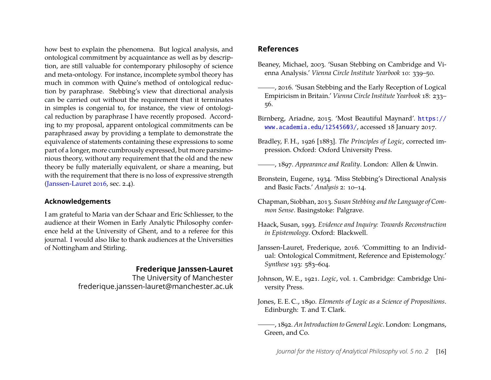how best to explain the phenomena. But logical analysis, and ontological commitment by acquaintance as well as by description, are still valuable for contemporary philosophy of science and meta-ontology. For instance, incomplete symbol theory has much in common with Quine's method of ontological reduction by paraphrase. Stebbing's view that directional analysis can be carried out without the requirement that it terminates in simples is congenial to, for instance, the view of ontological reduction by paraphrase I have recently proposed. According to my proposal, apparent ontological commitments can be paraphrased away by providing a template to demonstrate the equivalence of statements containing these expressions to some part of a longer, more cumbrously expressed, but more parsimonious theory, without any requirement that the old and the new theory be fully materially equivalent, or share a meaning, but with the requirement that there is no loss of expressive strength [\(Janssen-Lauret 2016,](#page-10-11) sec. 2.4).

#### **Acknowledgements**

I am grateful to Maria van der Schaar and Eric Schliesser, to the audience at their Women in Early Analytic Philosophy conference held at the University of Ghent, and to a referee for this journal. I would also like to thank audiences at the Universities of Nottingham and Stirling.

#### **Frederique Janssen-Lauret**

The University of Manchester frederique.janssen-lauret@manchester.ac.uk

#### **References**

- <span id="page-10-10"></span>Beaney, Michael, 2003. 'Susan Stebbing on Cambridge and Vienna Analysis.' *Vienna Circle Institute Yearbook* 10: 339–50.
- <span id="page-10-1"></span>, 2016. 'Susan Stebbing and the Early Reception of Logical Empiricism in Britain.' *Vienna Circle Institute Yearbook* 18: 233– 56.
- <span id="page-10-5"></span>Birnberg, Ariadne, 2015. 'Most Beautiful Maynard'. [https://](https://www.academia.edu/12545603/) [www.academia.edu/12545603/](https://www.academia.edu/12545603/), accessed 18 January 2017.
- <span id="page-10-6"></span>Bradley, F. H., 1926 [1883]. *The Principles of Logic*, corrected impression. Oxford: Oxford University Press.
- <span id="page-10-7"></span>, 1897. *Appearance and Reality*. London: Allen & Unwin.
- <span id="page-10-8"></span>Bronstein, Eugene, 1934. 'Miss Stebbing's Directional Analysis and Basic Facts.' *Analysis* 2: 10–14.
- <span id="page-10-0"></span>Chapman, Siobhan, 2013. *Susan Stebbing and the Language of Common Sense*. Basingstoke: Palgrave.
- <span id="page-10-9"></span>Haack, Susan, 1993. *Evidence and Inquiry: Towards Reconstruction in Epistemology*. Oxford: Blackwell.
- <span id="page-10-11"></span>Janssen-Lauret, Frederique, 2016. 'Committing to an Individual: Ontological Commitment, Reference and Epistemology.' *Synthese* 193: 583–604.
- <span id="page-10-4"></span>Johnson, W. E., 1921. *Logic*, vol. 1. Cambridge: Cambridge University Press.
- <span id="page-10-2"></span>Jones, E. E. C., 1890. *Elements of Logic as a Science of Propositions*. Edinburgh: T. and T. Clark.
- <span id="page-10-3"></span>, 1892. *An Introduction to General Logic*. London: Longmans, Green, and Co.